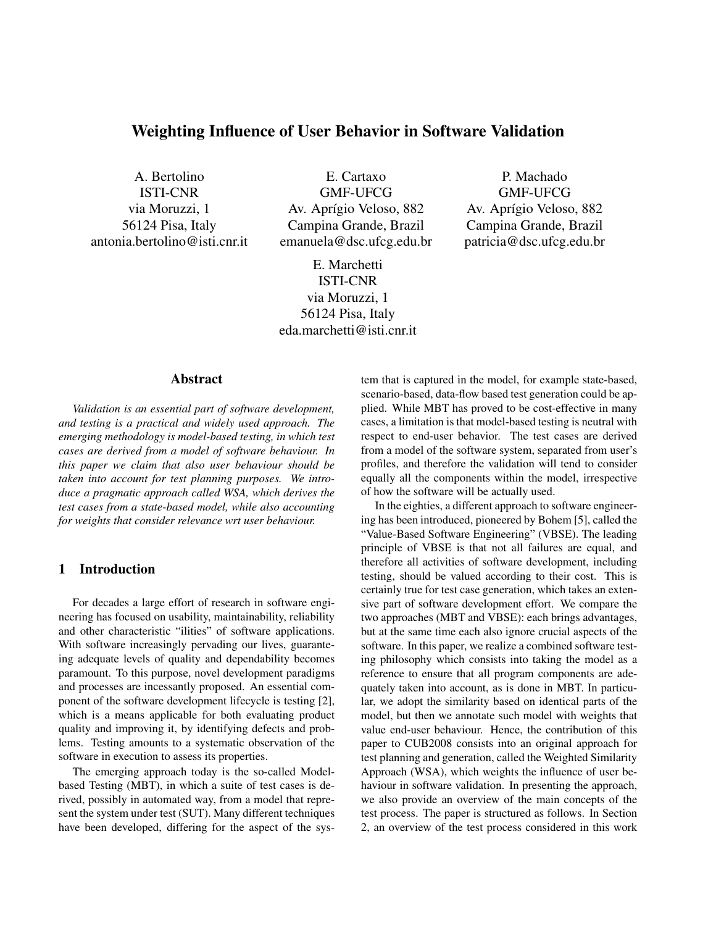# Weighting Influence of User Behavior in Software Validation

A. Bertolino ISTI-CNR via Moruzzi, 1 56124 Pisa, Italy antonia.bertolino@isti.cnr.it

E. Cartaxo GMF-UFCG Av. Aprígio Veloso, 882 Campina Grande, Brazil emanuela@dsc.ufcg.edu.br

E. Marchetti ISTI-CNR via Moruzzi, 1 56124 Pisa, Italy eda.marchetti@isti.cnr.it

# Abstract

*Validation is an essential part of software development, and testing is a practical and widely used approach. The emerging methodology is model-based testing, in which test cases are derived from a model of software behaviour. In this paper we claim that also user behaviour should be taken into account for test planning purposes. We introduce a pragmatic approach called WSA, which derives the test cases from a state-based model, while also accounting for weights that consider relevance wrt user behaviour.*

# 1 Introduction

For decades a large effort of research in software engineering has focused on usability, maintainability, reliability and other characteristic "ilities" of software applications. With software increasingly pervading our lives, guaranteing adequate levels of quality and dependability becomes paramount. To this purpose, novel development paradigms and processes are incessantly proposed. An essential component of the software development lifecycle is testing [2], which is a means applicable for both evaluating product quality and improving it, by identifying defects and problems. Testing amounts to a systematic observation of the software in execution to assess its properties.

The emerging approach today is the so-called Modelbased Testing (MBT), in which a suite of test cases is derived, possibly in automated way, from a model that represent the system under test (SUT). Many different techniques have been developed, differing for the aspect of the system that is captured in the model, for example state-based, scenario-based, data-flow based test generation could be applied. While MBT has proved to be cost-effective in many cases, a limitation is that model-based testing is neutral with respect to end-user behavior. The test cases are derived from a model of the software system, separated from user's profiles, and therefore the validation will tend to consider equally all the components within the model, irrespective of how the software will be actually used.

In the eighties, a different approach to software engineering has been introduced, pioneered by Bohem [5], called the "Value-Based Software Engineering" (VBSE). The leading principle of VBSE is that not all failures are equal, and therefore all activities of software development, including testing, should be valued according to their cost. This is certainly true for test case generation, which takes an extensive part of software development effort. We compare the two approaches (MBT and VBSE): each brings advantages, but at the same time each also ignore crucial aspects of the software. In this paper, we realize a combined software testing philosophy which consists into taking the model as a reference to ensure that all program components are adequately taken into account, as is done in MBT. In particular, we adopt the similarity based on identical parts of the model, but then we annotate such model with weights that value end-user behaviour. Hence, the contribution of this paper to CUB2008 consists into an original approach for test planning and generation, called the Weighted Similarity Approach (WSA), which weights the influence of user behaviour in software validation. In presenting the approach, we also provide an overview of the main concepts of the test process. The paper is structured as follows. In Section 2, an overview of the test process considered in this work

P. Machado GMF-UFCG Av. Aprígio Veloso, 882 Campina Grande, Brazil patricia@dsc.ufcg.edu.br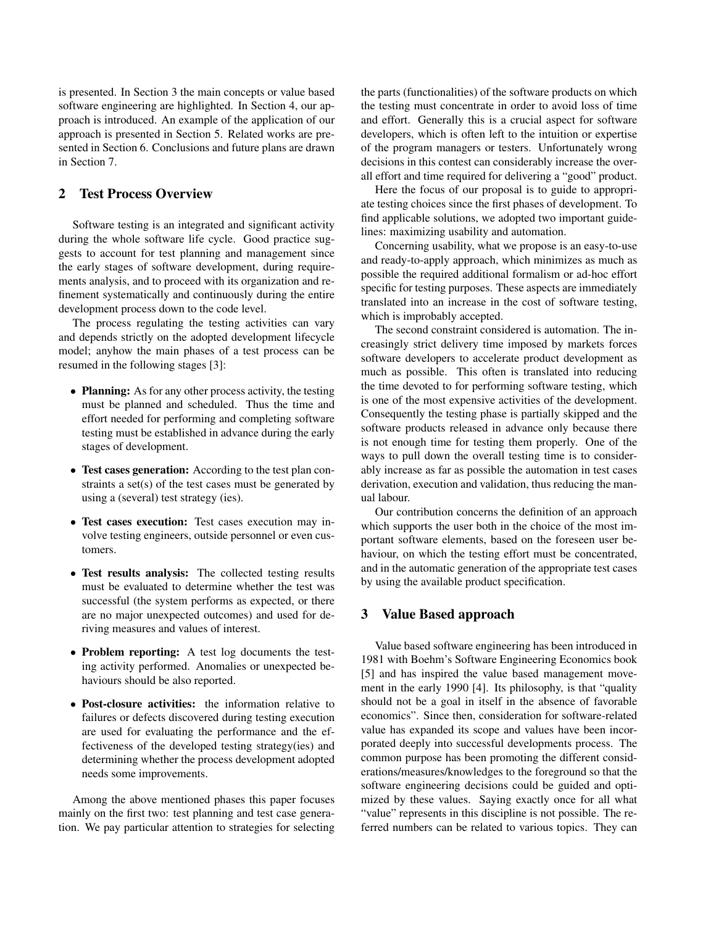is presented. In Section 3 the main concepts or value based software engineering are highlighted. In Section 4, our approach is introduced. An example of the application of our approach is presented in Section 5. Related works are presented in Section 6. Conclusions and future plans are drawn in Section 7.

## 2 Test Process Overview

Software testing is an integrated and significant activity during the whole software life cycle. Good practice suggests to account for test planning and management since the early stages of software development, during requirements analysis, and to proceed with its organization and refinement systematically and continuously during the entire development process down to the code level.

The process regulating the testing activities can vary and depends strictly on the adopted development lifecycle model; anyhow the main phases of a test process can be resumed in the following stages [3]:

- Planning: As for any other process activity, the testing must be planned and scheduled. Thus the time and effort needed for performing and completing software testing must be established in advance during the early stages of development.
- Test cases generation: According to the test plan constraints a set(s) of the test cases must be generated by using a (several) test strategy (ies).
- Test cases execution: Test cases execution may involve testing engineers, outside personnel or even customers.
- Test results analysis: The collected testing results must be evaluated to determine whether the test was successful (the system performs as expected, or there are no major unexpected outcomes) and used for deriving measures and values of interest.
- Problem reporting: A test log documents the testing activity performed. Anomalies or unexpected behaviours should be also reported.
- Post-closure activities: the information relative to failures or defects discovered during testing execution are used for evaluating the performance and the effectiveness of the developed testing strategy(ies) and determining whether the process development adopted needs some improvements.

Among the above mentioned phases this paper focuses mainly on the first two: test planning and test case generation. We pay particular attention to strategies for selecting the parts (functionalities) of the software products on which the testing must concentrate in order to avoid loss of time and effort. Generally this is a crucial aspect for software developers, which is often left to the intuition or expertise of the program managers or testers. Unfortunately wrong decisions in this contest can considerably increase the overall effort and time required for delivering a "good" product.

Here the focus of our proposal is to guide to appropriate testing choices since the first phases of development. To find applicable solutions, we adopted two important guidelines: maximizing usability and automation.

Concerning usability, what we propose is an easy-to-use and ready-to-apply approach, which minimizes as much as possible the required additional formalism or ad-hoc effort specific for testing purposes. These aspects are immediately translated into an increase in the cost of software testing, which is improbably accepted.

The second constraint considered is automation. The increasingly strict delivery time imposed by markets forces software developers to accelerate product development as much as possible. This often is translated into reducing the time devoted to for performing software testing, which is one of the most expensive activities of the development. Consequently the testing phase is partially skipped and the software products released in advance only because there is not enough time for testing them properly. One of the ways to pull down the overall testing time is to considerably increase as far as possible the automation in test cases derivation, execution and validation, thus reducing the manual labour.

Our contribution concerns the definition of an approach which supports the user both in the choice of the most important software elements, based on the foreseen user behaviour, on which the testing effort must be concentrated, and in the automatic generation of the appropriate test cases by using the available product specification.

# 3 Value Based approach

Value based software engineering has been introduced in 1981 with Boehm's Software Engineering Economics book [5] and has inspired the value based management movement in the early 1990 [4]. Its philosophy, is that "quality should not be a goal in itself in the absence of favorable economics". Since then, consideration for software-related value has expanded its scope and values have been incorporated deeply into successful developments process. The common purpose has been promoting the different considerations/measures/knowledges to the foreground so that the software engineering decisions could be guided and optimized by these values. Saying exactly once for all what "value" represents in this discipline is not possible. The referred numbers can be related to various topics. They can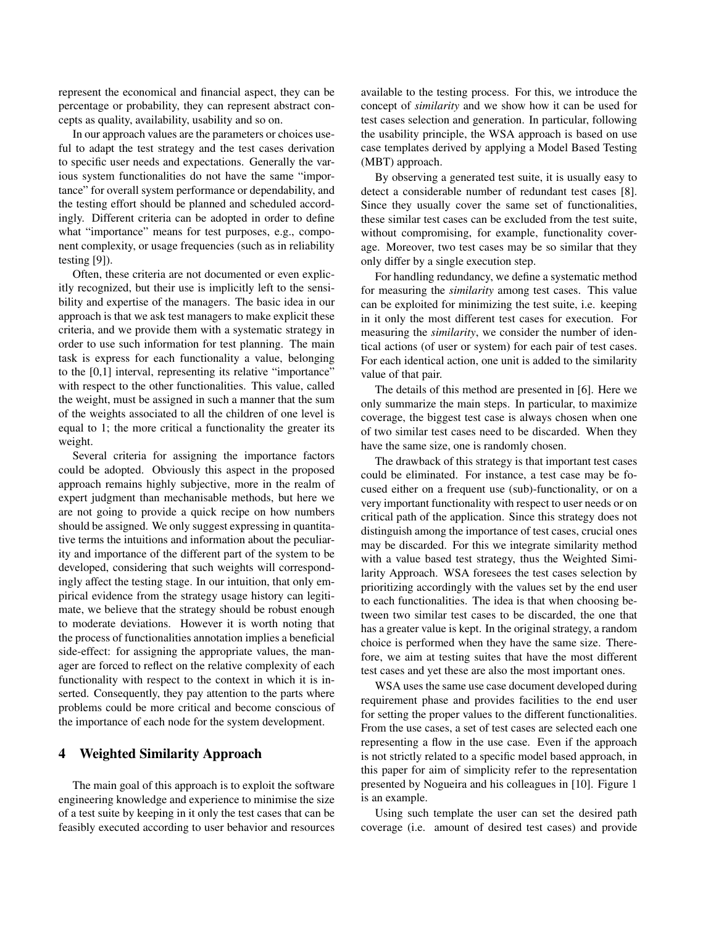represent the economical and financial aspect, they can be percentage or probability, they can represent abstract concepts as quality, availability, usability and so on.

In our approach values are the parameters or choices useful to adapt the test strategy and the test cases derivation to specific user needs and expectations. Generally the various system functionalities do not have the same "importance" for overall system performance or dependability, and the testing effort should be planned and scheduled accordingly. Different criteria can be adopted in order to define what "importance" means for test purposes, e.g., component complexity, or usage frequencies (such as in reliability testing [9]).

Often, these criteria are not documented or even explicitly recognized, but their use is implicitly left to the sensibility and expertise of the managers. The basic idea in our approach is that we ask test managers to make explicit these criteria, and we provide them with a systematic strategy in order to use such information for test planning. The main task is express for each functionality a value, belonging to the [0,1] interval, representing its relative "importance" with respect to the other functionalities. This value, called the weight, must be assigned in such a manner that the sum of the weights associated to all the children of one level is equal to 1; the more critical a functionality the greater its weight.

Several criteria for assigning the importance factors could be adopted. Obviously this aspect in the proposed approach remains highly subjective, more in the realm of expert judgment than mechanisable methods, but here we are not going to provide a quick recipe on how numbers should be assigned. We only suggest expressing in quantitative terms the intuitions and information about the peculiarity and importance of the different part of the system to be developed, considering that such weights will correspondingly affect the testing stage. In our intuition, that only empirical evidence from the strategy usage history can legitimate, we believe that the strategy should be robust enough to moderate deviations. However it is worth noting that the process of functionalities annotation implies a beneficial side-effect: for assigning the appropriate values, the manager are forced to reflect on the relative complexity of each functionality with respect to the context in which it is inserted. Consequently, they pay attention to the parts where problems could be more critical and become conscious of the importance of each node for the system development.

## 4 Weighted Similarity Approach

The main goal of this approach is to exploit the software engineering knowledge and experience to minimise the size of a test suite by keeping in it only the test cases that can be feasibly executed according to user behavior and resources available to the testing process. For this, we introduce the concept of *similarity* and we show how it can be used for test cases selection and generation. In particular, following the usability principle, the WSA approach is based on use case templates derived by applying a Model Based Testing (MBT) approach.

By observing a generated test suite, it is usually easy to detect a considerable number of redundant test cases [8]. Since they usually cover the same set of functionalities, these similar test cases can be excluded from the test suite, without compromising, for example, functionality coverage. Moreover, two test cases may be so similar that they only differ by a single execution step.

For handling redundancy, we define a systematic method for measuring the *similarity* among test cases. This value can be exploited for minimizing the test suite, i.e. keeping in it only the most different test cases for execution. For measuring the *similarity*, we consider the number of identical actions (of user or system) for each pair of test cases. For each identical action, one unit is added to the similarity value of that pair.

The details of this method are presented in [6]. Here we only summarize the main steps. In particular, to maximize coverage, the biggest test case is always chosen when one of two similar test cases need to be discarded. When they have the same size, one is randomly chosen.

The drawback of this strategy is that important test cases could be eliminated. For instance, a test case may be focused either on a frequent use (sub)-functionality, or on a very important functionality with respect to user needs or on critical path of the application. Since this strategy does not distinguish among the importance of test cases, crucial ones may be discarded. For this we integrate similarity method with a value based test strategy, thus the Weighted Similarity Approach. WSA foresees the test cases selection by prioritizing accordingly with the values set by the end user to each functionalities. The idea is that when choosing between two similar test cases to be discarded, the one that has a greater value is kept. In the original strategy, a random choice is performed when they have the same size. Therefore, we aim at testing suites that have the most different test cases and yet these are also the most important ones.

WSA uses the same use case document developed during requirement phase and provides facilities to the end user for setting the proper values to the different functionalities. From the use cases, a set of test cases are selected each one representing a flow in the use case. Even if the approach is not strictly related to a specific model based approach, in this paper for aim of simplicity refer to the representation presented by Nogueira and his colleagues in [10]. Figure 1 is an example.

Using such template the user can set the desired path coverage (i.e. amount of desired test cases) and provide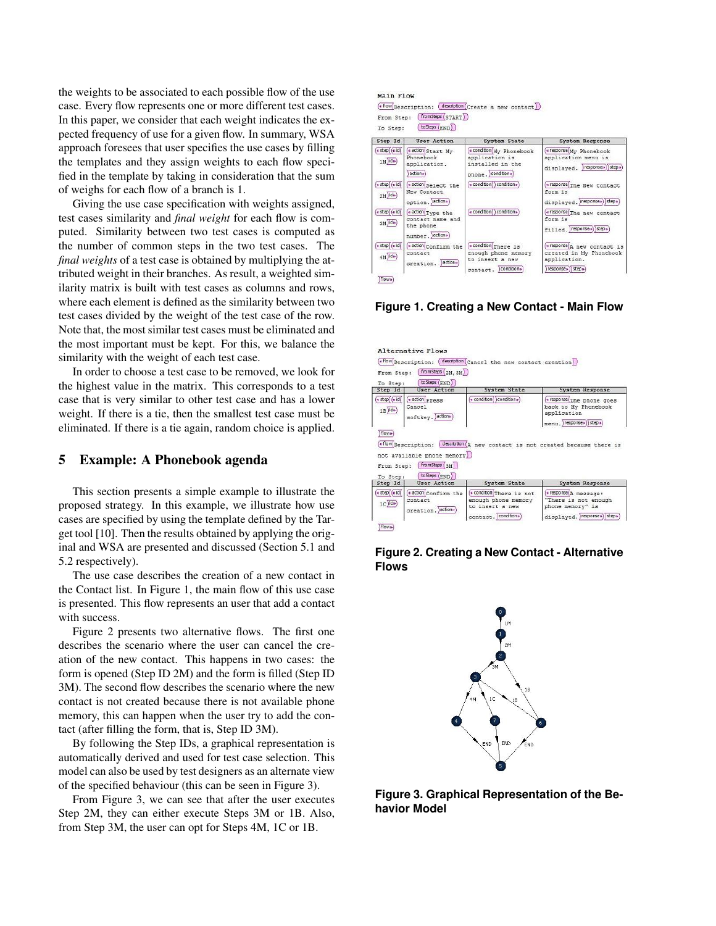the weights to be associated to each possible flow of the use case. Every flow represents one or more different test cases. In this paper, we consider that each weight indicates the expected frequency of use for a given flow. In summary, WSA approach foresees that user specifies the use cases by filling the templates and they assign weights to each flow specified in the template by taking in consideration that the sum of weighs for each flow of a branch is 1.

Giving the use case specification with weights assigned, test cases similarity and *final weight* for each flow is computed. Similarity between two test cases is computed as the number of common steps in the two test cases. The *final weights* of a test case is obtained by multiplying the attributed weight in their branches. As result, a weighted similarity matrix is built with test cases as columns and rows, where each element is defined as the similarity between two test cases divided by the weight of the test case of the row. Note that, the most similar test cases must be eliminated and the most important must be kept. For this, we balance the similarity with the weight of each test case.

In order to choose a test case to be removed, we look for the highest value in the matrix. This corresponds to a test case that is very similar to other test case and has a lower weight. If there is a tie, then the smallest test case must be eliminated. If there is a tie again, random choice is applied.

#### 5 Example: A Phonebook agenda

This section presents a simple example to illustrate the proposed strategy. In this example, we illustrate how use cases are specified by using the template defined by the Target tool [10]. Then the results obtained by applying the original and WSA are presented and discussed (Section 5.1 and 5.2 respectively).

The use case describes the creation of a new contact in the Contact list. In Figure 1, the main flow of this use case is presented. This flow represents an user that add a contact with success.

Figure 2 presents two alternative flows. The first one describes the scenario where the user can cancel the creation of the new contact. This happens in two cases: the form is opened (Step ID 2M) and the form is filled (Step ID 3M). The second flow describes the scenario where the new contact is not created because there is not available phone memory, this can happen when the user try to add the contact (after filling the form, that is, Step ID 3M).

By following the Step IDs, a graphical representation is automatically derived and used for test case selection. This model can also be used by test designers as an alternate view of the specified behaviour (this can be seen in Figure 3).

From Figure 3, we can see that after the user executes Step 2M, they can either execute Steps 3M or 1B. Also, from Step 3M, the user can opt for Steps 4M, 1C or 1B.



**Figure 1. Creating a New Contact - Main Flow**

| To Step:<br>Step Id                                | $(t$ o Steps $(\text{END})$ )<br>User Action                | System State            | System Response                                                                            |
|----------------------------------------------------|-------------------------------------------------------------|-------------------------|--------------------------------------------------------------------------------------------|
| $a$ step $($ $a$ id $($<br>$1B$ ) $idn$ )<br>flow» | $(aation p_{ress}$<br>Cancel.<br>softkey. actions)          | condition() conditions) | eresponse(The phone goes<br>back to My Phonebook<br>application<br>menu. response») step») |
|                                                    | not available phone memory))<br>From Step: (fromSteps (3M)) |                         | «flow(Description: (description(A new contact is not created because there is              |
| To Step:<br>Step Id                                | (to Steps (END))<br>User Action                             | System State            | <b>System Response</b>                                                                     |

**Figure 2. Creating a New Contact - Alternative Flows**



**Figure 3. Graphical Representation of the Behavior Model**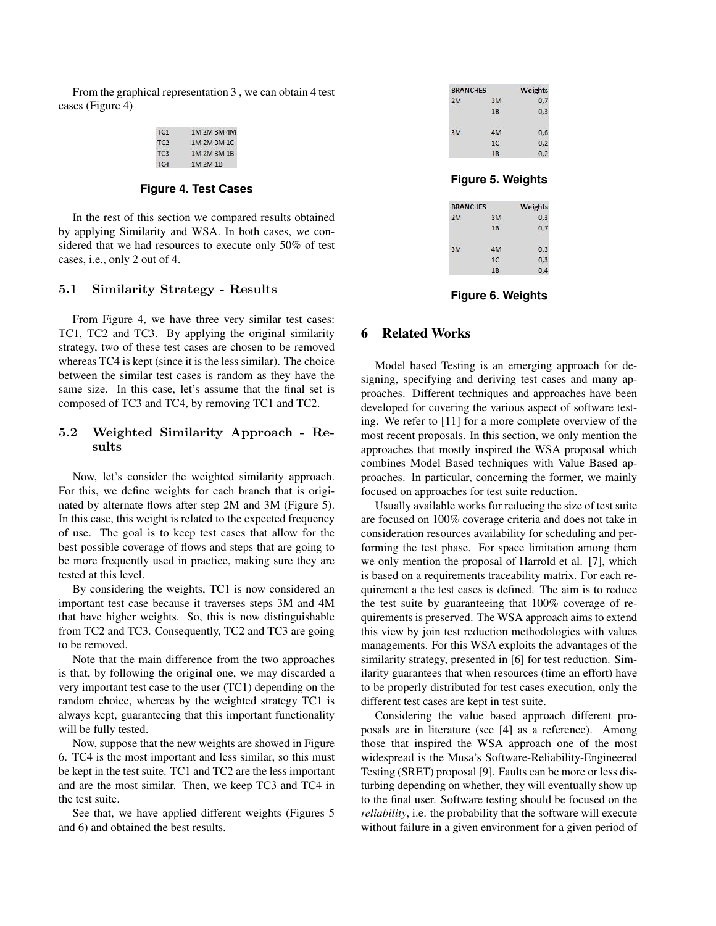From the graphical representation 3 , we can obtain 4 test cases (Figure 4)

| TC <sub>1</sub> | 1M 2M 3M 4M |
|-----------------|-------------|
| TC <sub>2</sub> | 1M 2M 3M 1C |
| TC3             | 1M 2M 3M 1B |
| TC <sub>4</sub> | 1M 2M 1B    |
|                 |             |

#### **Figure 4. Test Cases**

In the rest of this section we compared results obtained by applying Similarity and WSA. In both cases, we considered that we had resources to execute only 50% of test cases, i.e., only 2 out of 4.

## 5.1 Similarity Strategy - Results

From Figure 4, we have three very similar test cases: TC1, TC2 and TC3. By applying the original similarity strategy, two of these test cases are chosen to be removed whereas TC4 is kept (since it is the less similar). The choice between the similar test cases is random as they have the same size. In this case, let's assume that the final set is composed of TC3 and TC4, by removing TC1 and TC2.

#### 5.2 Weighted Similarity Approach - Results

Now, let's consider the weighted similarity approach. For this, we define weights for each branch that is originated by alternate flows after step 2M and 3M (Figure 5). In this case, this weight is related to the expected frequency of use. The goal is to keep test cases that allow for the best possible coverage of flows and steps that are going to be more frequently used in practice, making sure they are tested at this level.

By considering the weights, TC1 is now considered an important test case because it traverses steps 3M and 4M that have higher weights. So, this is now distinguishable from TC2 and TC3. Consequently, TC2 and TC3 are going to be removed.

Note that the main difference from the two approaches is that, by following the original one, we may discarded a very important test case to the user (TC1) depending on the random choice, whereas by the weighted strategy TC1 is always kept, guaranteeing that this important functionality will be fully tested.

Now, suppose that the new weights are showed in Figure 6. TC4 is the most important and less similar, so this must be kept in the test suite. TC1 and TC2 are the less important and are the most similar. Then, we keep TC3 and TC4 in the test suite.

See that, we have applied different weights (Figures 5 and 6) and obtained the best results.

| <b>BRANCHES</b> |                | Weights |
|-----------------|----------------|---------|
| 2M              | 3M             | 0,7     |
|                 | 1B             | 0,3     |
| 3M              | 4M             | 0.6     |
|                 | 1 <sup>C</sup> | 0,2     |
|                 | 1 <sub>R</sub> | 0.2     |

## **Figure 5. Weights**

|    | <b>BRANCHES</b> |     |
|----|-----------------|-----|
| 2M | 3M              | 0,3 |
|    | 1B              | 0,7 |
| 3M | 4M              | 0.3 |
|    | 1C              | 0.3 |
|    | 1B              | 0.4 |

#### **Figure 6. Weights**

# 6 Related Works

Model based Testing is an emerging approach for designing, specifying and deriving test cases and many approaches. Different techniques and approaches have been developed for covering the various aspect of software testing. We refer to [11] for a more complete overview of the most recent proposals. In this section, we only mention the approaches that mostly inspired the WSA proposal which combines Model Based techniques with Value Based approaches. In particular, concerning the former, we mainly focused on approaches for test suite reduction.

Usually available works for reducing the size of test suite are focused on 100% coverage criteria and does not take in consideration resources availability for scheduling and performing the test phase. For space limitation among them we only mention the proposal of Harrold et al. [7], which is based on a requirements traceability matrix. For each requirement a the test cases is defined. The aim is to reduce the test suite by guaranteeing that 100% coverage of requirements is preserved. The WSA approach aims to extend this view by join test reduction methodologies with values managements. For this WSA exploits the advantages of the similarity strategy, presented in [6] for test reduction. Similarity guarantees that when resources (time an effort) have to be properly distributed for test cases execution, only the different test cases are kept in test suite.

Considering the value based approach different proposals are in literature (see [4] as a reference). Among those that inspired the WSA approach one of the most widespread is the Musa's Software-Reliability-Engineered Testing (SRET) proposal [9]. Faults can be more or less disturbing depending on whether, they will eventually show up to the final user. Software testing should be focused on the *reliability*, i.e. the probability that the software will execute without failure in a given environment for a given period of